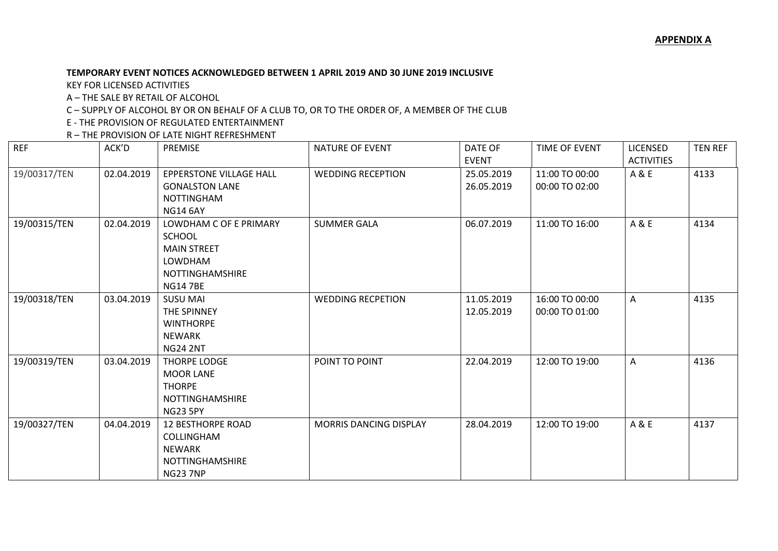## **TEMPORARY EVENT NOTICES ACKNOWLEDGED BETWEEN 1 APRIL 2019 AND 30 JUNE 2019 INCLUSIVE**

KEY FOR LICENSED ACTIVITIES

A – THE SALE BY RETAIL OF ALCOHOL

C – SUPPLY OF ALCOHOL BY OR ON BEHALF OF A CLUB TO, OR TO THE ORDER OF, A MEMBER OF THE CLUB

E - THE PROVISION OF REGULATED ENTERTAINMENT

R – THE PROVISION OF LATE NIGHT REFRESHMENT

| <b>REF</b>   | ACK'D      | <b>PREMISE</b>                                                                                                              | <b>NATURE OF EVENT</b>        | DATE OF<br><b>EVENT</b>  | TIME OF EVENT                    | <b>LICENSED</b><br><b>ACTIVITIES</b> | <b>TEN REF</b> |
|--------------|------------|-----------------------------------------------------------------------------------------------------------------------------|-------------------------------|--------------------------|----------------------------------|--------------------------------------|----------------|
| 19/00317/TEN | 02.04.2019 | <b>EPPERSTONE VILLAGE HALL</b><br><b>GONALSTON LANE</b><br><b>NOTTINGHAM</b><br><b>NG14 6AY</b>                             | <b>WEDDING RECEPTION</b>      | 25.05.2019<br>26.05.2019 | 11:00 TO 00:00<br>00:00 TO 02:00 | A & E                                | 4133           |
| 19/00315/TEN | 02.04.2019 | LOWDHAM C OF E PRIMARY<br><b>SCHOOL</b><br><b>MAIN STREET</b><br><b>LOWDHAM</b><br><b>NOTTINGHAMSHIRE</b><br><b>NG147BE</b> | <b>SUMMER GALA</b>            | 06.07.2019               | 11:00 TO 16:00                   | A&E                                  | 4134           |
| 19/00318/TEN | 03.04.2019 | <b>SUSU MAI</b><br>THE SPINNEY<br><b>WINTHORPE</b><br><b>NEWARK</b><br><b>NG24 2NT</b>                                      | <b>WEDDING RECPETION</b>      | 11.05.2019<br>12.05.2019 | 16:00 TO 00:00<br>00:00 TO 01:00 | A                                    | 4135           |
| 19/00319/TEN | 03.04.2019 | <b>THORPE LODGE</b><br><b>MOOR LANE</b><br><b>THORPE</b><br><b>NOTTINGHAMSHIRE</b><br><b>NG23 5PY</b>                       | POINT TO POINT                | 22.04.2019               | 12:00 TO 19:00                   | A                                    | 4136           |
| 19/00327/TEN | 04.04.2019 | <b>12 BESTHORPE ROAD</b><br><b>COLLINGHAM</b><br><b>NEWARK</b><br><b>NOTTINGHAMSHIRE</b><br><b>NG23 7NP</b>                 | <b>MORRIS DANCING DISPLAY</b> | 28.04.2019               | 12:00 TO 19:00                   | A & E                                | 4137           |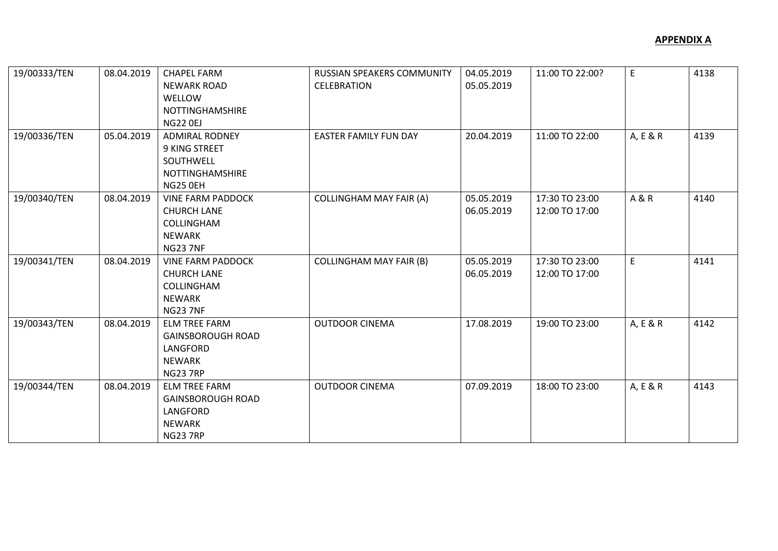| 19/00333/TEN | 08.04.2019 | <b>CHAPEL FARM</b>       | RUSSIAN SPEAKERS COMMUNITY     | 04.05.2019 | 11:00 TO 22:00? | E.             | 4138 |
|--------------|------------|--------------------------|--------------------------------|------------|-----------------|----------------|------|
|              |            | <b>NEWARK ROAD</b>       | <b>CELEBRATION</b>             | 05.05.2019 |                 |                |      |
|              |            | <b>WELLOW</b>            |                                |            |                 |                |      |
|              |            | NOTTINGHAMSHIRE          |                                |            |                 |                |      |
|              |            | <b>NG22 0EJ</b>          |                                |            |                 |                |      |
| 19/00336/TEN | 05.04.2019 | <b>ADMIRAL RODNEY</b>    | <b>EASTER FAMILY FUN DAY</b>   | 20.04.2019 | 11:00 TO 22:00  | A, E & R       | 4139 |
|              |            | 9 KING STREET            |                                |            |                 |                |      |
|              |            | SOUTHWELL                |                                |            |                 |                |      |
|              |            | NOTTINGHAMSHIRE          |                                |            |                 |                |      |
|              |            | NG25 OEH                 |                                |            |                 |                |      |
| 19/00340/TEN | 08.04.2019 | <b>VINE FARM PADDOCK</b> | <b>COLLINGHAM MAY FAIR (A)</b> | 05.05.2019 | 17:30 TO 23:00  | <b>A&amp;R</b> | 4140 |
|              |            | <b>CHURCH LANE</b>       |                                | 06.05.2019 | 12:00 TO 17:00  |                |      |
|              |            | COLLINGHAM               |                                |            |                 |                |      |
|              |            | <b>NEWARK</b>            |                                |            |                 |                |      |
|              |            | <b>NG23 7NF</b>          |                                |            |                 |                |      |
| 19/00341/TEN | 08.04.2019 | <b>VINE FARM PADDOCK</b> | <b>COLLINGHAM MAY FAIR (B)</b> | 05.05.2019 | 17:30 TO 23:00  | E              | 4141 |
|              |            | <b>CHURCH LANE</b>       |                                | 06.05.2019 | 12:00 TO 17:00  |                |      |
|              |            | COLLINGHAM               |                                |            |                 |                |      |
|              |            | <b>NEWARK</b>            |                                |            |                 |                |      |
|              |            | <b>NG23 7NF</b>          |                                |            |                 |                |      |
| 19/00343/TEN | 08.04.2019 | <b>ELM TREE FARM</b>     | <b>OUTDOOR CINEMA</b>          | 17.08.2019 | 19:00 TO 23:00  | A, E & R       | 4142 |
|              |            | <b>GAINSBOROUGH ROAD</b> |                                |            |                 |                |      |
|              |            | LANGFORD                 |                                |            |                 |                |      |
|              |            | <b>NEWARK</b>            |                                |            |                 |                |      |
|              |            | <b>NG23 7RP</b>          |                                |            |                 |                |      |
| 19/00344/TEN | 08.04.2019 | <b>ELM TREE FARM</b>     | <b>OUTDOOR CINEMA</b>          | 07.09.2019 | 18:00 TO 23:00  | A, E & R       | 4143 |
|              |            | <b>GAINSBOROUGH ROAD</b> |                                |            |                 |                |      |
|              |            | LANGFORD                 |                                |            |                 |                |      |
|              |            | <b>NEWARK</b>            |                                |            |                 |                |      |
|              |            | <b>NG23 7RP</b>          |                                |            |                 |                |      |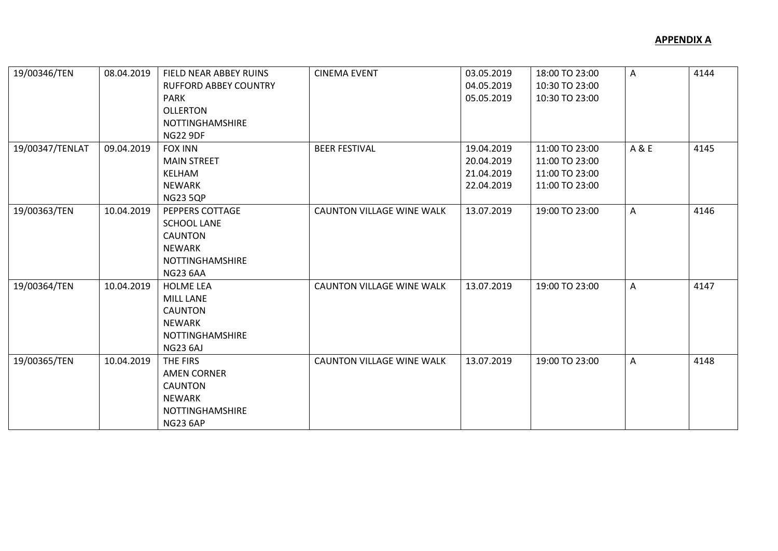| 19/00346/TEN    | 08.04.2019 | FIELD NEAR ABBEY RUINS<br><b>RUFFORD ABBEY COUNTRY</b><br><b>PARK</b><br><b>OLLERTON</b><br><b>NOTTINGHAMSHIRE</b><br><b>NG22 9DF</b> | <b>CINEMA EVENT</b>              | 03.05.2019<br>04.05.2019<br>05.05.2019               | 18:00 TO 23:00<br>10:30 TO 23:00<br>10:30 TO 23:00                   | Α     | 4144 |
|-----------------|------------|---------------------------------------------------------------------------------------------------------------------------------------|----------------------------------|------------------------------------------------------|----------------------------------------------------------------------|-------|------|
| 19/00347/TENLAT | 09.04.2019 | <b>FOX INN</b><br><b>MAIN STREET</b><br><b>KELHAM</b><br><b>NEWARK</b><br><b>NG23 5QP</b>                                             | <b>BEER FESTIVAL</b>             | 19.04.2019<br>20.04.2019<br>21.04.2019<br>22.04.2019 | 11:00 TO 23:00<br>11:00 TO 23:00<br>11:00 TO 23:00<br>11:00 TO 23:00 | A & E | 4145 |
| 19/00363/TEN    | 10.04.2019 | PEPPERS COTTAGE<br><b>SCHOOL LANE</b><br><b>CAUNTON</b><br><b>NEWARK</b><br><b>NOTTINGHAMSHIRE</b><br><b>NG23 6AA</b>                 | <b>CAUNTON VILLAGE WINE WALK</b> | 13.07.2019                                           | 19:00 TO 23:00                                                       | A     | 4146 |
| 19/00364/TEN    | 10.04.2019 | <b>HOLME LEA</b><br><b>MILL LANE</b><br><b>CAUNTON</b><br>NEWARK<br><b>NOTTINGHAMSHIRE</b><br><b>NG23 6AJ</b>                         | <b>CAUNTON VILLAGE WINE WALK</b> | 13.07.2019                                           | 19:00 TO 23:00                                                       | A     | 4147 |
| 19/00365/TEN    | 10.04.2019 | THE FIRS<br><b>AMEN CORNER</b><br><b>CAUNTON</b><br><b>NEWARK</b><br>NOTTINGHAMSHIRE<br><b>NG23 6AP</b>                               | <b>CAUNTON VILLAGE WINE WALK</b> | 13.07.2019                                           | 19:00 TO 23:00                                                       | A     | 4148 |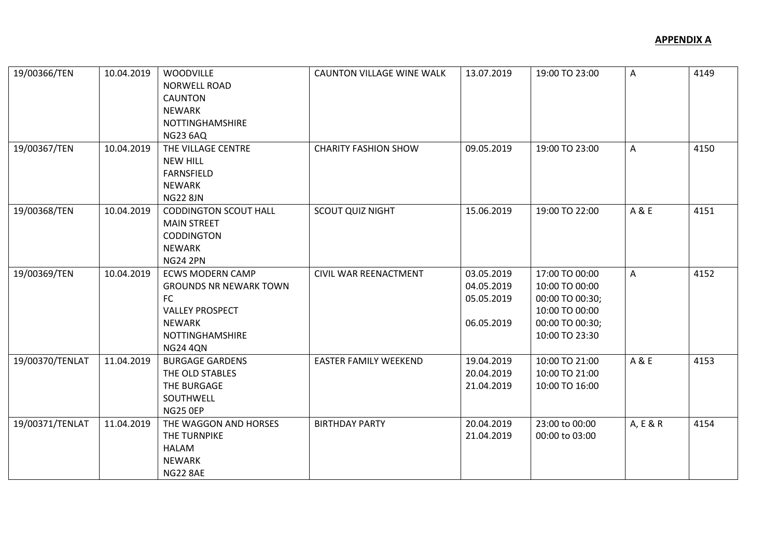| 19/00366/TEN    | 10.04.2019 | <b>WOODVILLE</b><br><b>NORWELL ROAD</b><br><b>CAUNTON</b><br><b>NEWARK</b><br><b>NOTTINGHAMSHIRE</b><br><b>NG23 6AQ</b>                                | <b>CAUNTON VILLAGE WINE WALK</b> | 13.07.2019                                           | 19:00 TO 23:00                                                                                             | A        | 4149 |
|-----------------|------------|--------------------------------------------------------------------------------------------------------------------------------------------------------|----------------------------------|------------------------------------------------------|------------------------------------------------------------------------------------------------------------|----------|------|
| 19/00367/TEN    | 10.04.2019 | THE VILLAGE CENTRE<br><b>NEW HILL</b><br><b>FARNSFIELD</b><br><b>NEWARK</b><br><b>NG22 8JN</b>                                                         | <b>CHARITY FASHION SHOW</b>      | 09.05.2019                                           | 19:00 TO 23:00                                                                                             | A        | 4150 |
| 19/00368/TEN    | 10.04.2019 | <b>CODDINGTON SCOUT HALL</b><br><b>MAIN STREET</b><br><b>CODDINGTON</b><br><b>NEWARK</b><br><b>NG24 2PN</b>                                            | <b>SCOUT QUIZ NIGHT</b>          | 15.06.2019                                           | 19:00 TO 22:00                                                                                             | A & E    | 4151 |
| 19/00369/TEN    | 10.04.2019 | <b>ECWS MODERN CAMP</b><br><b>GROUNDS NR NEWARK TOWN</b><br><b>FC</b><br><b>VALLEY PROSPECT</b><br><b>NEWARK</b><br>NOTTINGHAMSHIRE<br><b>NG24 4QN</b> | CIVIL WAR REENACTMENT            | 03.05.2019<br>04.05.2019<br>05.05.2019<br>06.05.2019 | 17:00 TO 00:00<br>10:00 TO 00:00<br>00:00 TO 00:30;<br>10:00 TO 00:00<br>00:00 TO 00:30;<br>10:00 TO 23:30 | A        | 4152 |
| 19/00370/TENLAT | 11.04.2019 | <b>BURGAGE GARDENS</b><br>THE OLD STABLES<br>THE BURGAGE<br>SOUTHWELL<br><b>NG25 0EP</b>                                                               | <b>EASTER FAMILY WEEKEND</b>     | 19.04.2019<br>20.04.2019<br>21.04.2019               | 10:00 TO 21:00<br>10:00 TO 21:00<br>10:00 TO 16:00                                                         | A & E    | 4153 |
| 19/00371/TENLAT | 11.04.2019 | THE WAGGON AND HORSES<br>THE TURNPIKE<br><b>HALAM</b><br><b>NEWARK</b><br><b>NG22 8AE</b>                                                              | <b>BIRTHDAY PARTY</b>            | 20.04.2019<br>21.04.2019                             | 23:00 to 00:00<br>00:00 to 03:00                                                                           | A, E & R | 4154 |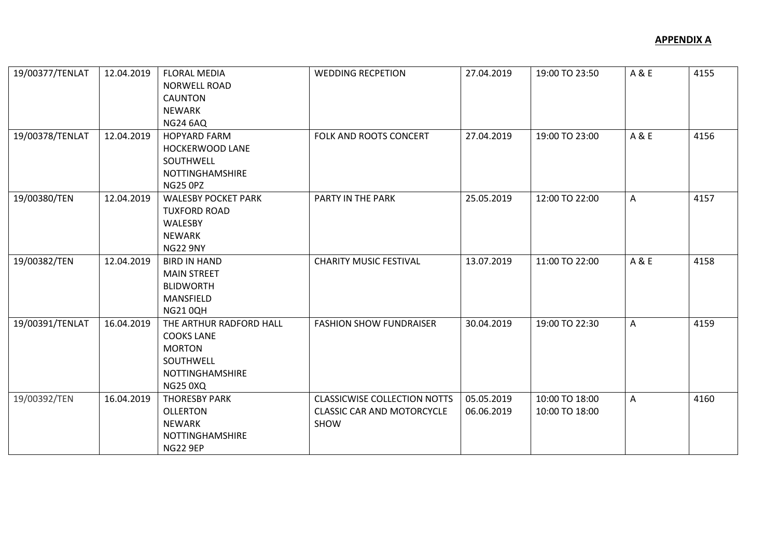| 19/00377/TENLAT | 12.04.2019 | <b>FLORAL MEDIA</b><br><b>NORWELL ROAD</b> | <b>WEDDING RECPETION</b>            | 27.04.2019 | 19:00 TO 23:50 | A & E | 4155 |
|-----------------|------------|--------------------------------------------|-------------------------------------|------------|----------------|-------|------|
|                 |            | <b>CAUNTON</b>                             |                                     |            |                |       |      |
|                 |            | <b>NEWARK</b>                              |                                     |            |                |       |      |
|                 |            | <b>NG24 6AQ</b>                            |                                     |            |                |       |      |
| 19/00378/TENLAT | 12.04.2019 | <b>HOPYARD FARM</b>                        | FOLK AND ROOTS CONCERT              | 27.04.2019 | 19:00 TO 23:00 | A & E | 4156 |
|                 |            | HOCKERWOOD LANE                            |                                     |            |                |       |      |
|                 |            | SOUTHWELL                                  |                                     |            |                |       |      |
|                 |            | NOTTINGHAMSHIRE                            |                                     |            |                |       |      |
|                 |            | <b>NG25 0PZ</b>                            |                                     |            |                |       |      |
| 19/00380/TEN    | 12.04.2019 | <b>WALESBY POCKET PARK</b>                 | PARTY IN THE PARK                   | 25.05.2019 | 12:00 TO 22:00 | A     | 4157 |
|                 |            | <b>TUXFORD ROAD</b>                        |                                     |            |                |       |      |
|                 |            | WALESBY                                    |                                     |            |                |       |      |
|                 |            | <b>NEWARK</b>                              |                                     |            |                |       |      |
|                 |            | <b>NG22 9NY</b>                            |                                     |            |                |       |      |
| 19/00382/TEN    | 12.04.2019 | <b>BIRD IN HAND</b>                        | <b>CHARITY MUSIC FESTIVAL</b>       | 13.07.2019 | 11:00 TO 22:00 | A & E | 4158 |
|                 |            | <b>MAIN STREET</b>                         |                                     |            |                |       |      |
|                 |            | <b>BLIDWORTH</b>                           |                                     |            |                |       |      |
|                 |            | MANSFIELD                                  |                                     |            |                |       |      |
|                 |            | <b>NG210QH</b>                             |                                     |            |                |       |      |
| 19/00391/TENLAT | 16.04.2019 | THE ARTHUR RADFORD HALL                    | <b>FASHION SHOW FUNDRAISER</b>      | 30.04.2019 | 19:00 TO 22:30 | Α     | 4159 |
|                 |            | <b>COOKS LANE</b>                          |                                     |            |                |       |      |
|                 |            | <b>MORTON</b>                              |                                     |            |                |       |      |
|                 |            | SOUTHWELL                                  |                                     |            |                |       |      |
|                 |            | <b>NOTTINGHAMSHIRE</b>                     |                                     |            |                |       |      |
|                 |            | <b>NG25 0XQ</b>                            |                                     |            |                |       |      |
| 19/00392/TEN    | 16.04.2019 | <b>THORESBY PARK</b>                       | <b>CLASSICWISE COLLECTION NOTTS</b> | 05.05.2019 | 10:00 TO 18:00 | A     | 4160 |
|                 |            | <b>OLLERTON</b>                            | <b>CLASSIC CAR AND MOTORCYCLE</b>   | 06.06.2019 | 10:00 TO 18:00 |       |      |
|                 |            | <b>NEWARK</b>                              | SHOW                                |            |                |       |      |
|                 |            | NOTTINGHAMSHIRE                            |                                     |            |                |       |      |
|                 |            | <b>NG22 9EP</b>                            |                                     |            |                |       |      |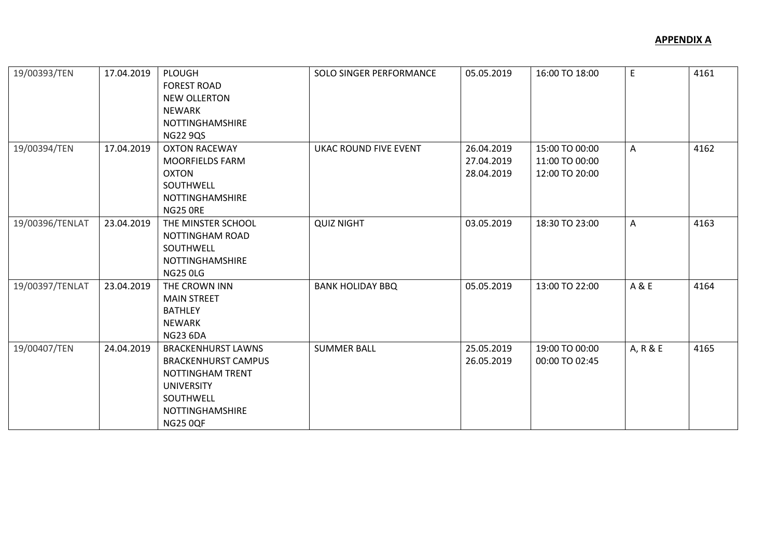| 19/00393/TEN    | 17.04.2019 | <b>PLOUGH</b><br><b>FOREST ROAD</b><br><b>NEW OLLERTON</b><br>NEWARK<br>NOTTINGHAMSHIRE<br><b>NG22 9QS</b>                                          | SOLO SINGER PERFORMANCE | 05.05.2019                             | 16:00 TO 18:00                                     | E        | 4161 |
|-----------------|------------|-----------------------------------------------------------------------------------------------------------------------------------------------------|-------------------------|----------------------------------------|----------------------------------------------------|----------|------|
| 19/00394/TEN    | 17.04.2019 | <b>OXTON RACEWAY</b><br><b>MOORFIELDS FARM</b><br>OXTON<br>SOUTHWELL<br><b>NOTTINGHAMSHIRE</b><br>NG25 ORE                                          | UKAC ROUND FIVE EVENT   | 26.04.2019<br>27.04.2019<br>28.04.2019 | 15:00 TO 00:00<br>11:00 TO 00:00<br>12:00 TO 20:00 | A        | 4162 |
| 19/00396/TENLAT | 23.04.2019 | THE MINSTER SCHOOL<br>NOTTINGHAM ROAD<br>SOUTHWELL<br><b>NOTTINGHAMSHIRE</b><br><b>NG25 0LG</b>                                                     | <b>QUIZ NIGHT</b>       | 03.05.2019                             | 18:30 TO 23:00                                     | A        | 4163 |
| 19/00397/TENLAT | 23.04.2019 | THE CROWN INN<br><b>MAIN STREET</b><br><b>BATHLEY</b><br>NEWARK<br><b>NG23 6DA</b>                                                                  | <b>BANK HOLIDAY BBQ</b> | 05.05.2019                             | 13:00 TO 22:00                                     | A & E    | 4164 |
| 19/00407/TEN    | 24.04.2019 | <b>BRACKENHURST LAWNS</b><br><b>BRACKENHURST CAMPUS</b><br>NOTTINGHAM TRENT<br><b>UNIVERSITY</b><br>SOUTHWELL<br>NOTTINGHAMSHIRE<br><b>NG25 0QF</b> | <b>SUMMER BALL</b>      | 25.05.2019<br>26.05.2019               | 19:00 TO 00:00<br>00:00 TO 02:45                   | A, R & E | 4165 |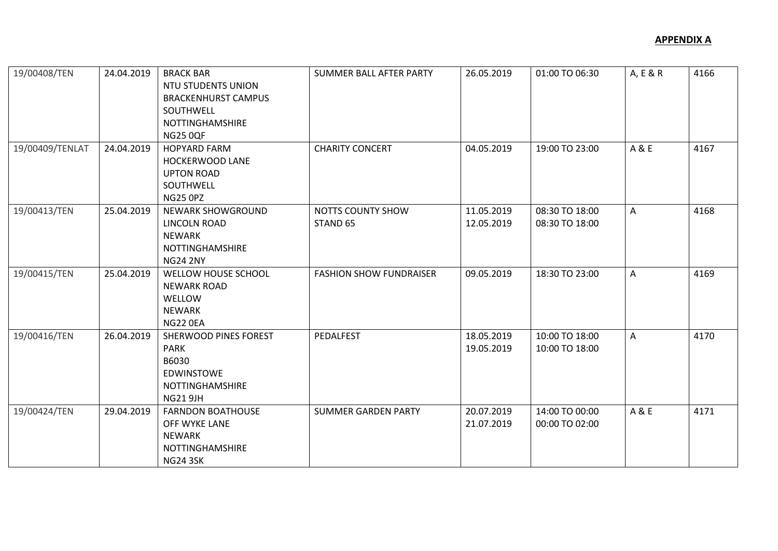| 19/00408/TEN    | 24.04.2019 | <b>BRACK BAR</b><br><b>NTU STUDENTS UNION</b><br><b>BRACKENHURST CAMPUS</b><br>SOUTHWELL<br><b>NOTTINGHAMSHIRE</b><br><b>NG25 0QF</b> | <b>SUMMER BALL AFTER PARTY</b>           | 26.05.2019               | 01:00 TO 06:30                   | A, E & R     | 4166 |
|-----------------|------------|---------------------------------------------------------------------------------------------------------------------------------------|------------------------------------------|--------------------------|----------------------------------|--------------|------|
| 19/00409/TENLAT | 24.04.2019 | <b>HOPYARD FARM</b><br>HOCKERWOOD LANE<br><b>UPTON ROAD</b><br>SOUTHWELL<br><b>NG25 0PZ</b>                                           | <b>CHARITY CONCERT</b>                   | 04.05.2019               | 19:00 TO 23:00                   | A & E        | 4167 |
| 19/00413/TEN    | 25.04.2019 | NEWARK SHOWGROUND<br>LINCOLN ROAD<br><b>NEWARK</b><br>NOTTINGHAMSHIRE<br><b>NG24 2NY</b>                                              | NOTTS COUNTY SHOW<br>STAND <sub>65</sub> | 11.05.2019<br>12.05.2019 | 08:30 TO 18:00<br>08:30 TO 18:00 | A            | 4168 |
| 19/00415/TEN    | 25.04.2019 | WELLOW HOUSE SCHOOL<br><b>NEWARK ROAD</b><br>WELLOW<br><b>NEWARK</b><br><b>NG22 0EA</b>                                               | <b>FASHION SHOW FUNDRAISER</b>           | 09.05.2019               | 18:30 TO 23:00                   | A            | 4169 |
| 19/00416/TEN    | 26.04.2019 | SHERWOOD PINES FOREST<br><b>PARK</b><br>B6030<br><b>EDWINSTOWE</b><br>NOTTINGHAMSHIRE<br><b>NG21 9JH</b>                              | PEDALFEST                                | 18.05.2019<br>19.05.2019 | 10:00 TO 18:00<br>10:00 TO 18:00 | $\mathsf{A}$ | 4170 |
| 19/00424/TEN    | 29.04.2019 | <b>FARNDON BOATHOUSE</b><br>OFF WYKE LANE<br><b>NEWARK</b><br>NOTTINGHAMSHIRE<br><b>NG24 3SK</b>                                      | <b>SUMMER GARDEN PARTY</b>               | 20.07.2019<br>21.07.2019 | 14:00 TO 00:00<br>00:00 TO 02:00 | A & E        | 4171 |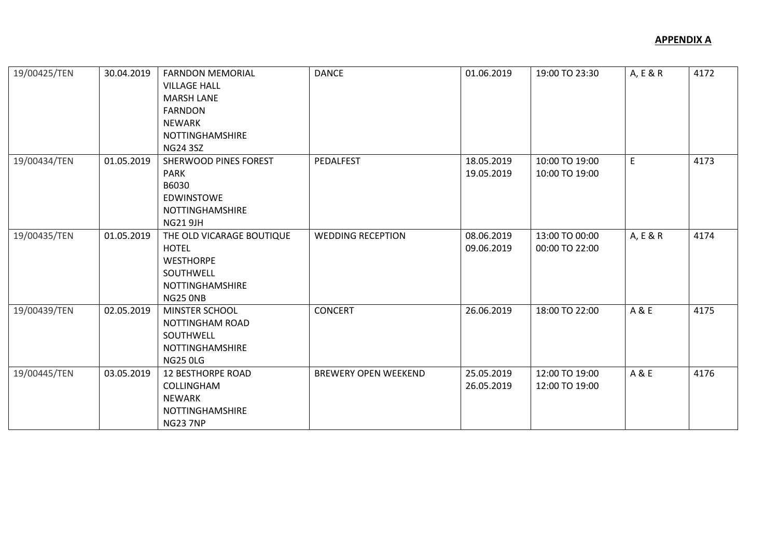| 19/00425/TEN | 30.04.2019 | <b>FARNDON MEMORIAL</b><br><b>VILLAGE HALL</b><br><b>MARSH LANE</b><br><b>FARNDON</b><br><b>NEWARK</b><br><b>NOTTINGHAMSHIRE</b><br><b>NG24 3SZ</b> | <b>DANCE</b>                | 01.06.2019               | 19:00 TO 23:30                   | A, E & R | 4172 |
|--------------|------------|-----------------------------------------------------------------------------------------------------------------------------------------------------|-----------------------------|--------------------------|----------------------------------|----------|------|
| 19/00434/TEN | 01.05.2019 | SHERWOOD PINES FOREST<br><b>PARK</b><br>B6030<br><b>EDWINSTOWE</b><br>NOTTINGHAMSHIRE<br><b>NG21 9JH</b>                                            | PEDALFEST                   | 18.05.2019<br>19.05.2019 | 10:00 TO 19:00<br>10:00 TO 19:00 | E        | 4173 |
| 19/00435/TEN | 01.05.2019 | THE OLD VICARAGE BOUTIQUE<br><b>HOTEL</b><br><b>WESTHORPE</b><br>SOUTHWELL<br>NOTTINGHAMSHIRE<br><b>NG25 ONB</b>                                    | <b>WEDDING RECEPTION</b>    | 08.06.2019<br>09.06.2019 | 13:00 TO 00:00<br>00:00 TO 22:00 | A, E & R | 4174 |
| 19/00439/TEN | 02.05.2019 | MINSTER SCHOOL<br>NOTTINGHAM ROAD<br>SOUTHWELL<br>NOTTINGHAMSHIRE<br><b>NG25 0LG</b>                                                                | <b>CONCERT</b>              | 26.06.2019               | 18:00 TO 22:00                   | A & E    | 4175 |
| 19/00445/TEN | 03.05.2019 | <b>12 BESTHORPE ROAD</b><br>COLLINGHAM<br><b>NEWARK</b><br>NOTTINGHAMSHIRE<br><b>NG23 7NP</b>                                                       | <b>BREWERY OPEN WEEKEND</b> | 25.05.2019<br>26.05.2019 | 12:00 TO 19:00<br>12:00 TO 19:00 | A & E    | 4176 |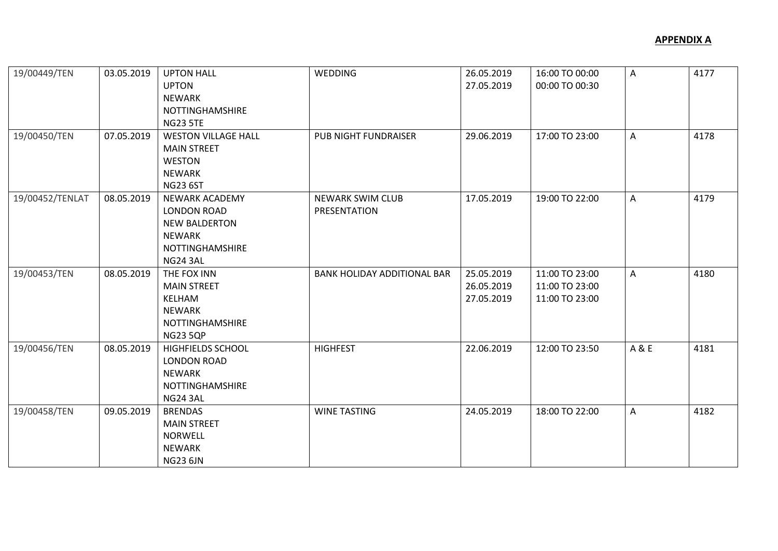| 19/00449/TEN    | 03.05.2019 | <b>UPTON HALL</b>          | <b>WEDDING</b>                     | 26.05.2019 | 16:00 TO 00:00 | A            | 4177 |
|-----------------|------------|----------------------------|------------------------------------|------------|----------------|--------------|------|
|                 |            | <b>UPTON</b>               |                                    | 27.05.2019 | 00:00 TO 00:30 |              |      |
|                 |            | <b>NEWARK</b>              |                                    |            |                |              |      |
|                 |            | NOTTINGHAMSHIRE            |                                    |            |                |              |      |
|                 |            | <b>NG23 5TE</b>            |                                    |            |                |              |      |
| 19/00450/TEN    | 07.05.2019 | <b>WESTON VILLAGE HALL</b> | PUB NIGHT FUNDRAISER               | 29.06.2019 | 17:00 TO 23:00 | A            | 4178 |
|                 |            | <b>MAIN STREET</b>         |                                    |            |                |              |      |
|                 |            | <b>WESTON</b>              |                                    |            |                |              |      |
|                 |            | <b>NEWARK</b>              |                                    |            |                |              |      |
|                 |            | <b>NG23 6ST</b>            |                                    |            |                |              |      |
| 19/00452/TENLAT | 08.05.2019 | <b>NEWARK ACADEMY</b>      | <b>NEWARK SWIM CLUB</b>            | 17.05.2019 | 19:00 TO 22:00 | A            | 4179 |
|                 |            | <b>LONDON ROAD</b>         | PRESENTATION                       |            |                |              |      |
|                 |            | <b>NEW BALDERTON</b>       |                                    |            |                |              |      |
|                 |            | NEWARK                     |                                    |            |                |              |      |
|                 |            | NOTTINGHAMSHIRE            |                                    |            |                |              |      |
|                 |            | <b>NG24 3AL</b>            |                                    |            |                |              |      |
| 19/00453/TEN    | 08.05.2019 | THE FOX INN                | <b>BANK HOLIDAY ADDITIONAL BAR</b> | 25.05.2019 | 11:00 TO 23:00 | $\mathsf{A}$ | 4180 |
|                 |            | <b>MAIN STREET</b>         |                                    | 26.05.2019 | 11:00 TO 23:00 |              |      |
|                 |            | KELHAM                     |                                    | 27.05.2019 | 11:00 TO 23:00 |              |      |
|                 |            | NEWARK                     |                                    |            |                |              |      |
|                 |            | NOTTINGHAMSHIRE            |                                    |            |                |              |      |
|                 |            | <b>NG23 5QP</b>            |                                    |            |                |              |      |
| 19/00456/TEN    | 08.05.2019 | HIGHFIELDS SCHOOL          | <b>HIGHFEST</b>                    | 22.06.2019 | 12:00 TO 23:50 | A & E        | 4181 |
|                 |            | <b>LONDON ROAD</b>         |                                    |            |                |              |      |
|                 |            | NEWARK                     |                                    |            |                |              |      |
|                 |            | NOTTINGHAMSHIRE            |                                    |            |                |              |      |
|                 |            | <b>NG24 3AL</b>            |                                    |            |                |              |      |
| 19/00458/TEN    | 09.05.2019 | <b>BRENDAS</b>             | <b>WINE TASTING</b>                | 24.05.2019 | 18:00 TO 22:00 | A            | 4182 |
|                 |            | <b>MAIN STREET</b>         |                                    |            |                |              |      |
|                 |            | <b>NORWELL</b>             |                                    |            |                |              |      |
|                 |            | <b>NEWARK</b>              |                                    |            |                |              |      |
|                 |            | <b>NG23 6JN</b>            |                                    |            |                |              |      |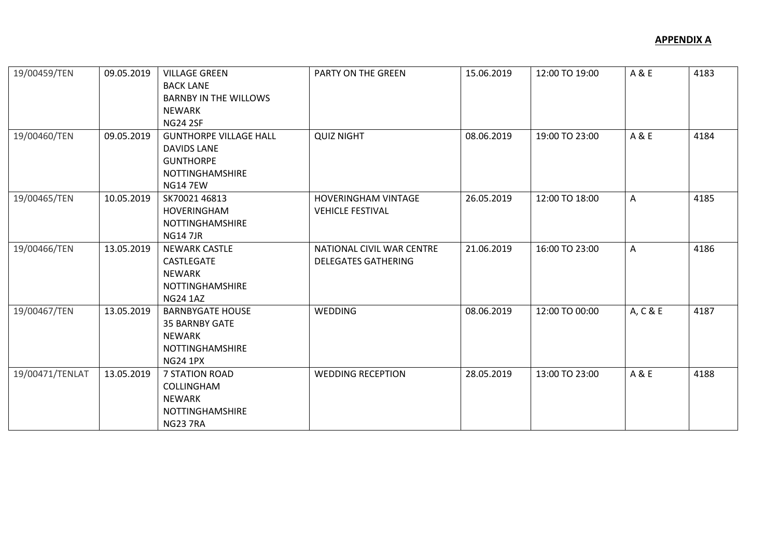| 19/00459/TEN    | 09.05.2019 | <b>VILLAGE GREEN</b><br><b>BACK LANE</b><br><b>BARNBY IN THE WILLOWS</b><br><b>NEWARK</b><br><b>NG24 2SF</b>         | PARTY ON THE GREEN                                      | 15.06.2019 | 12:00 TO 19:00 | A & E    | 4183 |
|-----------------|------------|----------------------------------------------------------------------------------------------------------------------|---------------------------------------------------------|------------|----------------|----------|------|
| 19/00460/TEN    | 09.05.2019 | <b>GUNTHORPE VILLAGE HALL</b><br><b>DAVIDS LANE</b><br><b>GUNTHORPE</b><br><b>NOTTINGHAMSHIRE</b><br><b>NG14 7EW</b> | <b>QUIZ NIGHT</b>                                       | 08.06.2019 | 19:00 TO 23:00 | A & E    | 4184 |
| 19/00465/TEN    | 10.05.2019 | SK70021 46813<br>HOVERINGHAM<br><b>NOTTINGHAMSHIRE</b><br><b>NG147JR</b>                                             | <b>HOVERINGHAM VINTAGE</b><br><b>VEHICLE FESTIVAL</b>   | 26.05.2019 | 12:00 TO 18:00 | A        | 4185 |
| 19/00466/TEN    | 13.05.2019 | <b>NEWARK CASTLE</b><br><b>CASTLEGATE</b><br><b>NEWARK</b><br><b>NOTTINGHAMSHIRE</b><br><b>NG24 1AZ</b>              | NATIONAL CIVIL WAR CENTRE<br><b>DELEGATES GATHERING</b> | 21.06.2019 | 16:00 TO 23:00 | A        | 4186 |
| 19/00467/TEN    | 13.05.2019 | <b>BARNBYGATE HOUSE</b><br><b>35 BARNBY GATE</b><br><b>NEWARK</b><br><b>NOTTINGHAMSHIRE</b><br><b>NG24 1PX</b>       | WEDDING                                                 | 08.06.2019 | 12:00 TO 00:00 | A, C & E | 4187 |
| 19/00471/TENLAT | 13.05.2019 | <b>7 STATION ROAD</b><br>COLLINGHAM<br>NEWARK<br><b>NOTTINGHAMSHIRE</b><br><b>NG23 7RA</b>                           | <b>WEDDING RECEPTION</b>                                | 28.05.2019 | 13:00 TO 23:00 | A & E    | 4188 |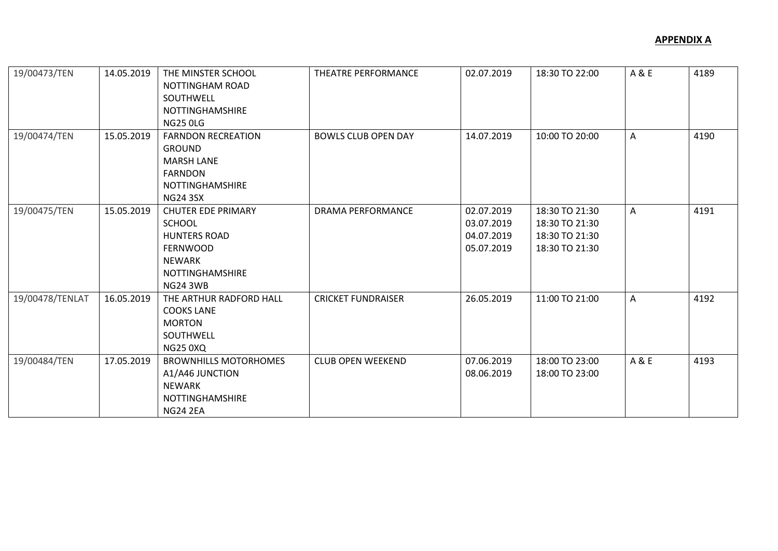| 19/00473/TEN    | 14.05.2019 | THE MINSTER SCHOOL<br>NOTTINGHAM ROAD<br>SOUTHWELL<br><b>NOTTINGHAMSHIRE</b><br><b>NG25 0LG</b>                                                    | THEATRE PERFORMANCE        | 02.07.2019                                           | 18:30 TO 22:00                                                       | A & E | 4189 |
|-----------------|------------|----------------------------------------------------------------------------------------------------------------------------------------------------|----------------------------|------------------------------------------------------|----------------------------------------------------------------------|-------|------|
| 19/00474/TEN    | 15.05.2019 | <b>FARNDON RECREATION</b><br><b>GROUND</b><br><b>MARSH LANE</b><br><b>FARNDON</b><br>NOTTINGHAMSHIRE<br><b>NG24 3SX</b>                            | <b>BOWLS CLUB OPEN DAY</b> | 14.07.2019                                           | 10:00 TO 20:00                                                       | A     | 4190 |
| 19/00475/TEN    | 15.05.2019 | <b>CHUTER EDE PRIMARY</b><br><b>SCHOOL</b><br><b>HUNTERS ROAD</b><br><b>FERNWOOD</b><br><b>NEWARK</b><br><b>NOTTINGHAMSHIRE</b><br><b>NG24 3WB</b> | <b>DRAMA PERFORMANCE</b>   | 02.07.2019<br>03.07.2019<br>04.07.2019<br>05.07.2019 | 18:30 TO 21:30<br>18:30 TO 21:30<br>18:30 TO 21:30<br>18:30 TO 21:30 | A     | 4191 |
| 19/00478/TENLAT | 16.05.2019 | THE ARTHUR RADFORD HALL<br><b>COOKS LANE</b><br><b>MORTON</b><br>SOUTHWELL<br><b>NG25 0XQ</b>                                                      | <b>CRICKET FUNDRAISER</b>  | 26.05.2019                                           | 11:00 TO 21:00                                                       | A     | 4192 |
| 19/00484/TEN    | 17.05.2019 | <b>BROWNHILLS MOTORHOMES</b><br>A1/A46 JUNCTION<br><b>NEWARK</b><br>NOTTINGHAMSHIRE<br><b>NG24 2EA</b>                                             | <b>CLUB OPEN WEEKEND</b>   | 07.06.2019<br>08.06.2019                             | 18:00 TO 23:00<br>18:00 TO 23:00                                     | A & E | 4193 |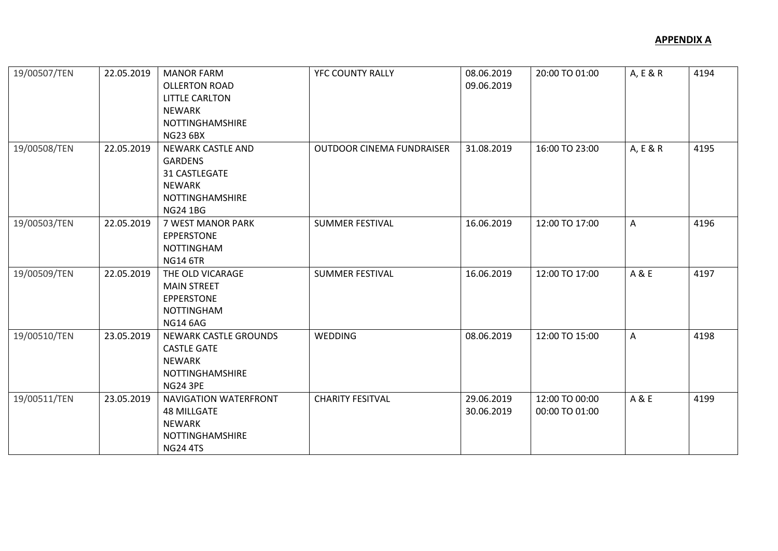| 19/00507/TEN | 22.05.2019 | <b>MANOR FARM</b><br><b>OLLERTON ROAD</b><br><b>LITTLE CARLTON</b><br><b>NEWARK</b><br><b>NOTTINGHAMSHIRE</b><br><b>NG23 6BX</b> | YFC COUNTY RALLY                 | 08.06.2019<br>09.06.2019 | 20:00 TO 01:00                   | A, E & R | 4194 |
|--------------|------------|----------------------------------------------------------------------------------------------------------------------------------|----------------------------------|--------------------------|----------------------------------|----------|------|
| 19/00508/TEN | 22.05.2019 | <b>NEWARK CASTLE AND</b><br><b>GARDENS</b><br>31 CASTLEGATE<br><b>NEWARK</b><br><b>NOTTINGHAMSHIRE</b><br><b>NG24 1BG</b>        | <b>OUTDOOR CINEMA FUNDRAISER</b> | 31.08.2019               | 16:00 TO 23:00                   | A, E & R | 4195 |
| 19/00503/TEN | 22.05.2019 | 7 WEST MANOR PARK<br><b>EPPERSTONE</b><br><b>NOTTINGHAM</b><br><b>NG14 6TR</b>                                                   | <b>SUMMER FESTIVAL</b>           | 16.06.2019               | 12:00 TO 17:00                   | A        | 4196 |
| 19/00509/TEN | 22.05.2019 | THE OLD VICARAGE<br><b>MAIN STREET</b><br><b>EPPERSTONE</b><br><b>NOTTINGHAM</b><br><b>NG14 6AG</b>                              | <b>SUMMER FESTIVAL</b>           | 16.06.2019               | 12:00 TO 17:00                   | A & E    | 4197 |
| 19/00510/TEN | 23.05.2019 | <b>NEWARK CASTLE GROUNDS</b><br><b>CASTLE GATE</b><br><b>NEWARK</b><br><b>NOTTINGHAMSHIRE</b><br><b>NG24 3PE</b>                 | WEDDING                          | 08.06.2019               | 12:00 TO 15:00                   | A        | 4198 |
| 19/00511/TEN | 23.05.2019 | NAVIGATION WATERFRONT<br><b>48 MILLGATE</b><br><b>NEWARK</b><br><b>NOTTINGHAMSHIRE</b><br><b>NG24 4TS</b>                        | <b>CHARITY FESITVAL</b>          | 29.06.2019<br>30.06.2019 | 12:00 TO 00:00<br>00:00 TO 01:00 | A & E    | 4199 |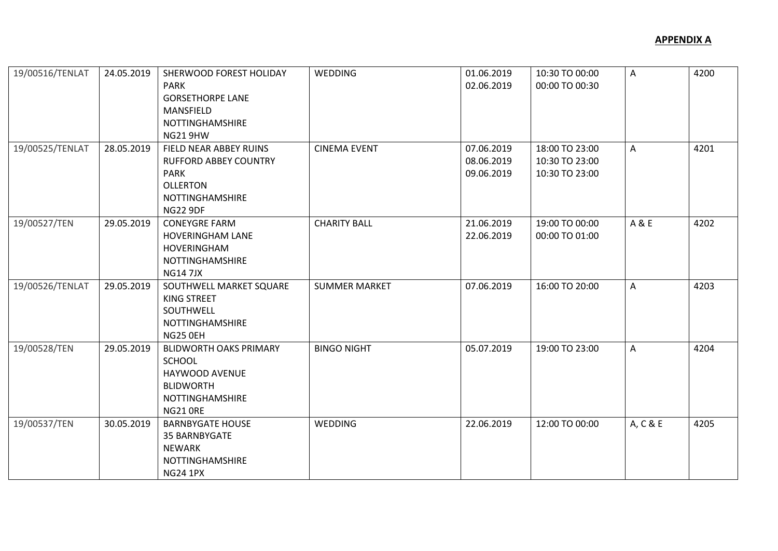| 19/00516/TENLAT | 24.05.2019 | SHERWOOD FOREST HOLIDAY       | <b>WEDDING</b>       | 01.06.2019 | 10:30 TO 00:00 | A        | 4200 |
|-----------------|------------|-------------------------------|----------------------|------------|----------------|----------|------|
|                 |            | <b>PARK</b>                   |                      | 02.06.2019 | 00:00 TO 00:30 |          |      |
|                 |            | <b>GORSETHORPE LANE</b>       |                      |            |                |          |      |
|                 |            | MANSFIELD                     |                      |            |                |          |      |
|                 |            | NOTTINGHAMSHIRE               |                      |            |                |          |      |
|                 |            | <b>NG21 9HW</b>               |                      |            |                |          |      |
| 19/00525/TENLAT | 28.05.2019 | FIELD NEAR ABBEY RUINS        | <b>CINEMA EVENT</b>  | 07.06.2019 | 18:00 TO 23:00 | A        | 4201 |
|                 |            | <b>RUFFORD ABBEY COUNTRY</b>  |                      | 08.06.2019 | 10:30 TO 23:00 |          |      |
|                 |            | <b>PARK</b>                   |                      | 09.06.2019 | 10:30 TO 23:00 |          |      |
|                 |            | <b>OLLERTON</b>               |                      |            |                |          |      |
|                 |            | NOTTINGHAMSHIRE               |                      |            |                |          |      |
|                 |            | <b>NG22 9DF</b>               |                      |            |                |          |      |
| 19/00527/TEN    | 29.05.2019 | <b>CONEYGRE FARM</b>          | <b>CHARITY BALL</b>  | 21.06.2019 | 19:00 TO 00:00 | A & E    | 4202 |
|                 |            | <b>HOVERINGHAM LANE</b>       |                      | 22.06.2019 | 00:00 TO 01:00 |          |      |
|                 |            | HOVERINGHAM                   |                      |            |                |          |      |
|                 |            | NOTTINGHAMSHIRE               |                      |            |                |          |      |
|                 |            | <b>NG147JX</b>                |                      |            |                |          |      |
| 19/00526/TENLAT | 29.05.2019 | SOUTHWELL MARKET SQUARE       | <b>SUMMER MARKET</b> | 07.06.2019 | 16:00 TO 20:00 | A        | 4203 |
|                 |            | KING STREET                   |                      |            |                |          |      |
|                 |            | SOUTHWELL                     |                      |            |                |          |      |
|                 |            | <b>NOTTINGHAMSHIRE</b>        |                      |            |                |          |      |
|                 |            | NG25 OEH                      |                      |            |                |          |      |
| 19/00528/TEN    | 29.05.2019 | <b>BLIDWORTH OAKS PRIMARY</b> | <b>BINGO NIGHT</b>   | 05.07.2019 | 19:00 TO 23:00 | A        | 4204 |
|                 |            | SCHOOL                        |                      |            |                |          |      |
|                 |            | HAYWOOD AVENUE                |                      |            |                |          |      |
|                 |            | <b>BLIDWORTH</b>              |                      |            |                |          |      |
|                 |            | NOTTINGHAMSHIRE               |                      |            |                |          |      |
|                 |            | <b>NG21 ORE</b>               |                      |            |                |          |      |
| 19/00537/TEN    | 30.05.2019 | <b>BARNBYGATE HOUSE</b>       | <b>WEDDING</b>       | 22.06.2019 | 12:00 TO 00:00 | A, C & E | 4205 |
|                 |            | 35 BARNBYGATE                 |                      |            |                |          |      |
|                 |            | <b>NEWARK</b>                 |                      |            |                |          |      |
|                 |            | NOTTINGHAMSHIRE               |                      |            |                |          |      |
|                 |            | <b>NG24 1PX</b>               |                      |            |                |          |      |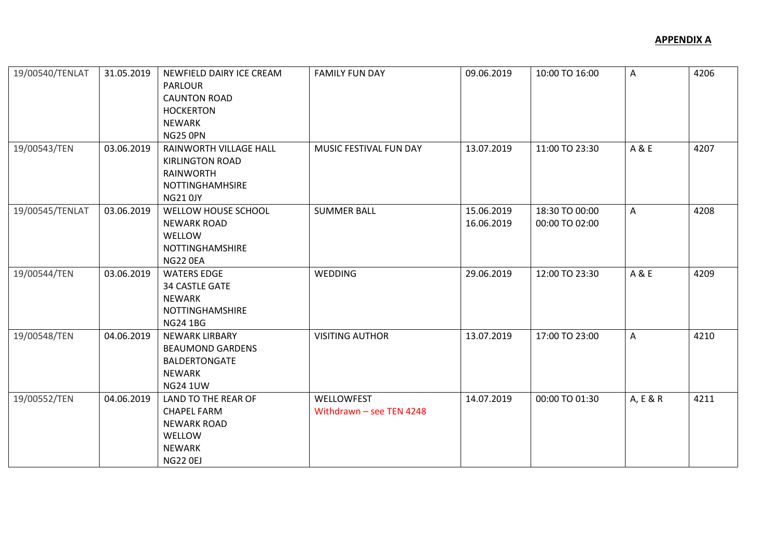| 19/00540/TENLAT | 31.05.2019 | NEWFIELD DAIRY ICE CREAM<br><b>PARLOUR</b><br><b>CAUNTON ROAD</b><br><b>HOCKERTON</b><br><b>NEWARK</b><br>NG25 OPN | <b>FAMILY FUN DAY</b>                    | 09.06.2019               | 10:00 TO 16:00                   | A        | 4206 |
|-----------------|------------|--------------------------------------------------------------------------------------------------------------------|------------------------------------------|--------------------------|----------------------------------|----------|------|
| 19/00543/TEN    | 03.06.2019 | RAINWORTH VILLAGE HALL<br><b>KIRLINGTON ROAD</b><br><b>RAINWORTH</b><br><b>NOTTINGHAMHSIRE</b><br><b>NG21 0JY</b>  | MUSIC FESTIVAL FUN DAY                   | 13.07.2019               | 11:00 TO 23:30                   | A & E    | 4207 |
| 19/00545/TENLAT | 03.06.2019 | WELLOW HOUSE SCHOOL<br><b>NEWARK ROAD</b><br>WELLOW<br>NOTTINGHAMSHIRE<br>NG22 0EA                                 | <b>SUMMER BALL</b>                       | 15.06.2019<br>16.06.2019 | 18:30 TO 00:00<br>00:00 TO 02:00 | A        | 4208 |
| 19/00544/TEN    | 03.06.2019 | <b>WATERS EDGE</b><br><b>34 CASTLE GATE</b><br><b>NEWARK</b><br>NOTTINGHAMSHIRE<br><b>NG24 1BG</b>                 | <b>WEDDING</b>                           | 29.06.2019               | 12:00 TO 23:30                   | A & E    | 4209 |
| 19/00548/TEN    | 04.06.2019 | <b>NEWARK LIRBARY</b><br><b>BEAUMOND GARDENS</b><br><b>BALDERTONGATE</b><br>NEWARK<br><b>NG24 1UW</b>              | <b>VISITING AUTHOR</b>                   | 13.07.2019               | 17:00 TO 23:00                   | A        | 4210 |
| 19/00552/TEN    | 04.06.2019 | LAND TO THE REAR OF<br><b>CHAPEL FARM</b><br><b>NEWARK ROAD</b><br>WELLOW<br><b>NEWARK</b><br><b>NG22 0EJ</b>      | WELLOWFEST<br>Withdrawn $-$ see TEN 4248 | 14.07.2019               | 00:00 TO 01:30                   | A, E & R | 4211 |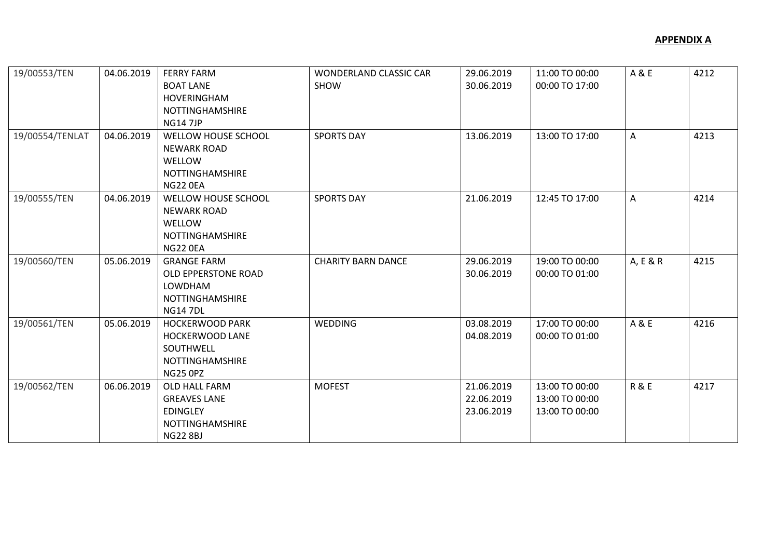| 19/00553/TEN    | 04.06.2019 | <b>FERRY FARM</b><br><b>BOAT LANE</b><br><b>HOVERINGHAM</b><br><b>NOTTINGHAMSHIRE</b><br><b>NG147JP</b> | WONDERLAND CLASSIC CAR<br><b>SHOW</b> | 29.06.2019<br>30.06.2019               | 11:00 TO 00:00<br>00:00 TO 17:00                   | A & E          | 4212 |
|-----------------|------------|---------------------------------------------------------------------------------------------------------|---------------------------------------|----------------------------------------|----------------------------------------------------|----------------|------|
| 19/00554/TENLAT | 04.06.2019 | WELLOW HOUSE SCHOOL<br><b>NEWARK ROAD</b><br>WELLOW<br><b>NOTTINGHAMSHIRE</b><br>NG22 0EA               | <b>SPORTS DAY</b>                     | 13.06.2019                             | 13:00 TO 17:00                                     | A              | 4213 |
| 19/00555/TEN    | 04.06.2019 | WELLOW HOUSE SCHOOL<br><b>NEWARK ROAD</b><br>WELLOW<br><b>NOTTINGHAMSHIRE</b><br>NG22 0EA               | <b>SPORTS DAY</b>                     | 21.06.2019                             | 12:45 TO 17:00                                     | A              | 4214 |
| 19/00560/TEN    | 05.06.2019 | <b>GRANGE FARM</b><br><b>OLD EPPERSTONE ROAD</b><br>LOWDHAM<br>NOTTINGHAMSHIRE<br><b>NG147DL</b>        | <b>CHARITY BARN DANCE</b>             | 29.06.2019<br>30.06.2019               | 19:00 TO 00:00<br>00:00 TO 01:00                   | A, E & R       | 4215 |
| 19/00561/TEN    | 05.06.2019 | <b>HOCKERWOOD PARK</b><br><b>HOCKERWOOD LANE</b><br>SOUTHWELL<br>NOTTINGHAMSHIRE<br><b>NG25 0PZ</b>     | WEDDING                               | 03.08.2019<br>04.08.2019               | 17:00 TO 00:00<br>00:00 TO 01:00                   | A & E          | 4216 |
| 19/00562/TEN    | 06.06.2019 | OLD HALL FARM<br><b>GREAVES LANE</b><br><b>EDINGLEY</b><br><b>NOTTINGHAMSHIRE</b><br><b>NG22 8BJ</b>    | <b>MOFEST</b>                         | 21.06.2019<br>22.06.2019<br>23.06.2019 | 13:00 TO 00:00<br>13:00 TO 00:00<br>13:00 TO 00:00 | <b>R&amp;E</b> | 4217 |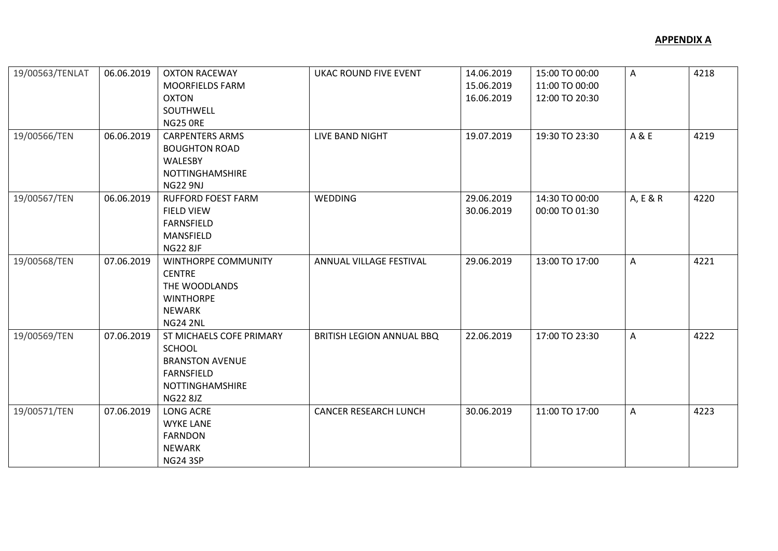| 19/00563/TENLAT<br>19/00566/TEN | 06.06.2019<br>06.06.2019 | <b>OXTON RACEWAY</b><br><b>MOORFIELDS FARM</b><br>OXTON<br>SOUTHWELL<br>NG25 ORE<br><b>CARPENTERS ARMS</b><br><b>BOUGHTON ROAD</b> | <b>UKAC ROUND FIVE EVENT</b><br>LIVE BAND NIGHT | 14.06.2019<br>15.06.2019<br>16.06.2019<br>19.07.2019 | 15:00 TO 00:00<br>11:00 TO 00:00<br>12:00 TO 20:30<br>19:30 TO 23:30 | A<br>A & E | 4218<br>4219 |
|---------------------------------|--------------------------|------------------------------------------------------------------------------------------------------------------------------------|-------------------------------------------------|------------------------------------------------------|----------------------------------------------------------------------|------------|--------------|
|                                 |                          | WALESBY<br><b>NOTTINGHAMSHIRE</b><br><b>NG22 9NJ</b>                                                                               |                                                 |                                                      |                                                                      |            |              |
| 19/00567/TEN                    | 06.06.2019               | <b>RUFFORD FOEST FARM</b><br><b>FIELD VIEW</b><br><b>FARNSFIELD</b><br>MANSFIELD<br><b>NG22 8JF</b>                                | <b>WEDDING</b>                                  | 29.06.2019<br>30.06.2019                             | 14:30 TO 00:00<br>00:00 TO 01:30                                     | A, E & R   | 4220         |
| 19/00568/TEN                    | 07.06.2019               | WINTHORPE COMMUNITY<br><b>CENTRE</b><br>THE WOODLANDS<br><b>WINTHORPE</b><br><b>NEWARK</b><br><b>NG24 2NL</b>                      | ANNUAL VILLAGE FESTIVAL                         | 29.06.2019                                           | 13:00 TO 17:00                                                       | A          | 4221         |
| 19/00569/TEN                    | 07.06.2019               | ST MICHAELS COFE PRIMARY<br>SCHOOL<br><b>BRANSTON AVENUE</b><br>FARNSFIELD<br><b>NOTTINGHAMSHIRE</b><br><b>NG22 8JZ</b>            | BRITISH LEGION ANNUAL BBQ                       | 22.06.2019                                           | 17:00 TO 23:30                                                       | A          | 4222         |
| 19/00571/TEN                    | 07.06.2019               | LONG ACRE<br><b>WYKE LANE</b><br><b>FARNDON</b><br><b>NEWARK</b><br><b>NG24 3SP</b>                                                | <b>CANCER RESEARCH LUNCH</b>                    | 30.06.2019                                           | 11:00 TO 17:00                                                       | A          | 4223         |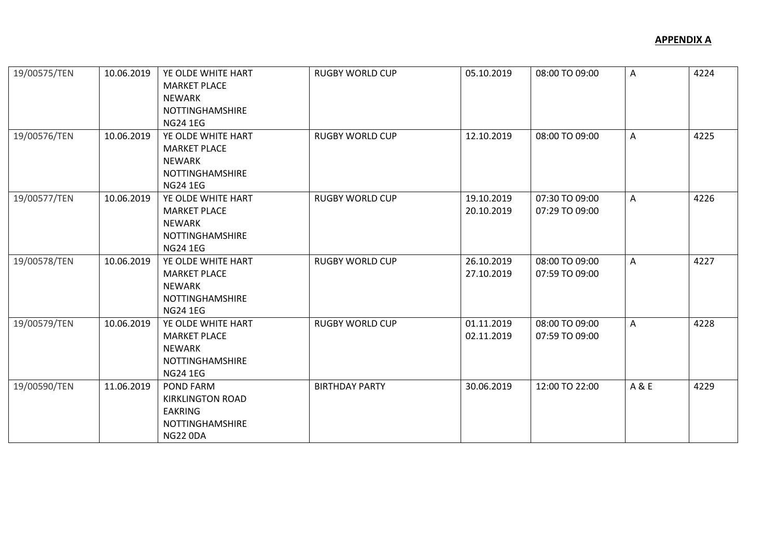| 19/00575/TEN | 10.06.2019 | YE OLDE WHITE HART<br><b>MARKET PLACE</b> | <b>RUGBY WORLD CUP</b> | 05.10.2019 | 08:00 TO 09:00 | A     | 4224 |
|--------------|------------|-------------------------------------------|------------------------|------------|----------------|-------|------|
|              |            | NEWARK                                    |                        |            |                |       |      |
|              |            | <b>NOTTINGHAMSHIRE</b>                    |                        |            |                |       |      |
|              |            | <b>NG24 1EG</b>                           |                        |            |                |       |      |
| 19/00576/TEN | 10.06.2019 | YE OLDE WHITE HART                        | <b>RUGBY WORLD CUP</b> | 12.10.2019 | 08:00 TO 09:00 | A     | 4225 |
|              |            | <b>MARKET PLACE</b>                       |                        |            |                |       |      |
|              |            | <b>NEWARK</b>                             |                        |            |                |       |      |
|              |            | <b>NOTTINGHAMSHIRE</b>                    |                        |            |                |       |      |
|              |            | <b>NG24 1EG</b>                           |                        |            |                |       |      |
| 19/00577/TEN | 10.06.2019 | YE OLDE WHITE HART                        | <b>RUGBY WORLD CUP</b> | 19.10.2019 | 07:30 TO 09:00 | A     | 4226 |
|              |            | <b>MARKET PLACE</b>                       |                        | 20.10.2019 | 07:29 TO 09:00 |       |      |
|              |            | <b>NEWARK</b>                             |                        |            |                |       |      |
|              |            | <b>NOTTINGHAMSHIRE</b>                    |                        |            |                |       |      |
|              |            | <b>NG24 1EG</b>                           |                        |            |                |       |      |
| 19/00578/TEN | 10.06.2019 | YE OLDE WHITE HART                        | <b>RUGBY WORLD CUP</b> | 26.10.2019 | 08:00 TO 09:00 | A     | 4227 |
|              |            | <b>MARKET PLACE</b>                       |                        | 27.10.2019 | 07:59 TO 09:00 |       |      |
|              |            | <b>NEWARK</b>                             |                        |            |                |       |      |
|              |            | <b>NOTTINGHAMSHIRE</b>                    |                        |            |                |       |      |
|              |            | <b>NG24 1EG</b>                           |                        |            |                |       |      |
| 19/00579/TEN | 10.06.2019 | YE OLDE WHITE HART                        | <b>RUGBY WORLD CUP</b> | 01.11.2019 | 08:00 TO 09:00 | A     | 4228 |
|              |            | <b>MARKET PLACE</b>                       |                        | 02.11.2019 | 07:59 TO 09:00 |       |      |
|              |            | <b>NEWARK</b>                             |                        |            |                |       |      |
|              |            | <b>NOTTINGHAMSHIRE</b>                    |                        |            |                |       |      |
|              |            | <b>NG24 1EG</b>                           |                        |            |                |       |      |
| 19/00590/TEN | 11.06.2019 | POND FARM                                 | <b>BIRTHDAY PARTY</b>  | 30.06.2019 | 12:00 TO 22:00 | A & E | 4229 |
|              |            | <b>KIRKLINGTON ROAD</b>                   |                        |            |                |       |      |
|              |            | <b>EAKRING</b>                            |                        |            |                |       |      |
|              |            | <b>NOTTINGHAMSHIRE</b>                    |                        |            |                |       |      |
|              |            | <b>NG22 0DA</b>                           |                        |            |                |       |      |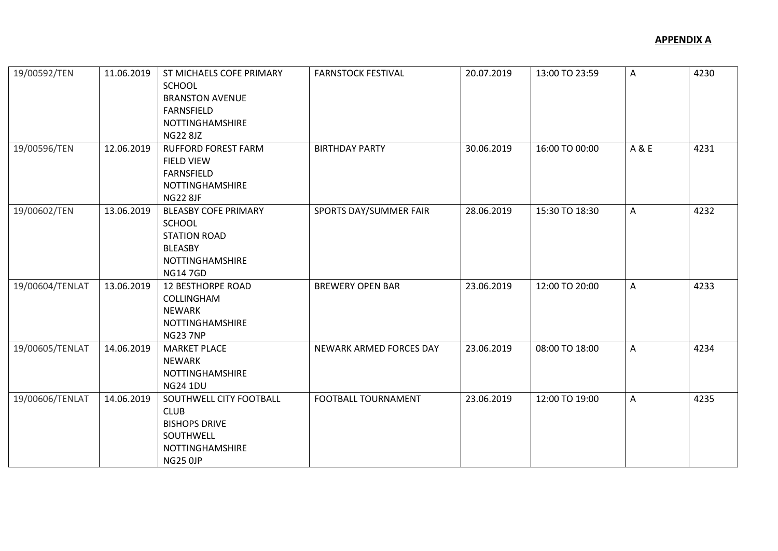| 19/00592/TEN    | 11.06.2019 | ST MICHAELS COFE PRIMARY<br><b>SCHOOL</b><br><b>BRANSTON AVENUE</b><br><b>FARNSFIELD</b><br>NOTTINGHAMSHIRE<br><b>NG22 8JZ</b> | <b>FARNSTOCK FESTIVAL</b>  | 20.07.2019 | 13:00 TO 23:59 | A     | 4230 |
|-----------------|------------|--------------------------------------------------------------------------------------------------------------------------------|----------------------------|------------|----------------|-------|------|
| 19/00596/TEN    | 12.06.2019 | <b>RUFFORD FOREST FARM</b><br><b>FIELD VIEW</b><br><b>FARNSFIELD</b><br><b>NOTTINGHAMSHIRE</b><br><b>NG22 8JF</b>              | <b>BIRTHDAY PARTY</b>      | 30.06.2019 | 16:00 TO 00:00 | A & E | 4231 |
| 19/00602/TEN    | 13.06.2019 | <b>BLEASBY COFE PRIMARY</b><br><b>SCHOOL</b><br><b>STATION ROAD</b><br><b>BLEASBY</b><br>NOTTINGHAMSHIRE<br><b>NG147GD</b>     | SPORTS DAY/SUMMER FAIR     | 28.06.2019 | 15:30 TO 18:30 | A     | 4232 |
| 19/00604/TENLAT | 13.06.2019 | <b>12 BESTHORPE ROAD</b><br><b>COLLINGHAM</b><br><b>NEWARK</b><br><b>NOTTINGHAMSHIRE</b><br><b>NG23 7NP</b>                    | <b>BREWERY OPEN BAR</b>    | 23.06.2019 | 12:00 TO 20:00 | A     | 4233 |
| 19/00605/TENLAT | 14.06.2019 | <b>MARKET PLACE</b><br><b>NEWARK</b><br>NOTTINGHAMSHIRE<br><b>NG24 1DU</b>                                                     | NEWARK ARMED FORCES DAY    | 23.06.2019 | 08:00 TO 18:00 | A     | 4234 |
| 19/00606/TENLAT | 14.06.2019 | SOUTHWELL CITY FOOTBALL<br><b>CLUB</b><br><b>BISHOPS DRIVE</b><br>SOUTHWELL<br>NOTTINGHAMSHIRE<br><b>NG25 0JP</b>              | <b>FOOTBALL TOURNAMENT</b> | 23.06.2019 | 12:00 TO 19:00 | A     | 4235 |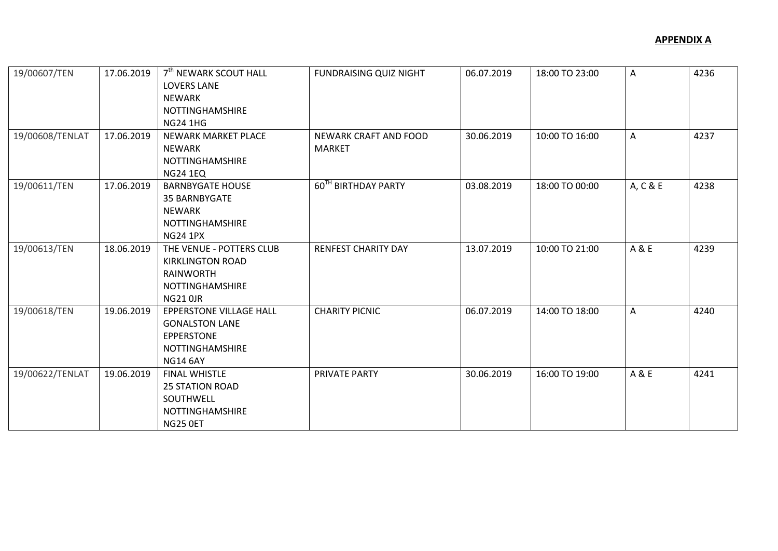| 19/00607/TEN<br>19/00608/TENLAT | 17.06.2019<br>17.06.2019 | 7 <sup>th</sup> NEWARK SCOUT HALL<br><b>LOVERS LANE</b><br><b>NEWARK</b><br><b>NOTTINGHAMSHIRE</b><br><b>NG24 1HG</b><br>NEWARK MARKET PLACE | <b>FUNDRAISING QUIZ NIGHT</b><br><b>NEWARK CRAFT AND FOOD</b> | 06.07.2019<br>30.06.2019 | 18:00 TO 23:00<br>10:00 TO 16:00 | Α<br>A   | 4236<br>4237 |
|---------------------------------|--------------------------|----------------------------------------------------------------------------------------------------------------------------------------------|---------------------------------------------------------------|--------------------------|----------------------------------|----------|--------------|
|                                 |                          | <b>NEWARK</b><br><b>NOTTINGHAMSHIRE</b><br><b>NG24 1EQ</b>                                                                                   | <b>MARKET</b>                                                 |                          |                                  |          |              |
| 19/00611/TEN                    | 17.06.2019               | <b>BARNBYGATE HOUSE</b><br>35 BARNBYGATE<br><b>NEWARK</b><br><b>NOTTINGHAMSHIRE</b><br><b>NG24 1PX</b>                                       | 60 <sup>TH</sup> BIRTHDAY PARTY                               | 03.08.2019               | 18:00 TO 00:00                   | A, C & E | 4238         |
| 19/00613/TEN                    | 18.06.2019               | THE VENUE - POTTERS CLUB<br><b>KIRKLINGTON ROAD</b><br><b>RAINWORTH</b><br><b>NOTTINGHAMSHIRE</b><br><b>NG21 0JR</b>                         | RENFEST CHARITY DAY                                           | 13.07.2019               | 10:00 TO 21:00                   | A & E    | 4239         |
| 19/00618/TEN                    | 19.06.2019               | <b>EPPERSTONE VILLAGE HALL</b><br><b>GONALSTON LANE</b><br><b>EPPERSTONE</b><br>NOTTINGHAMSHIRE<br><b>NG14 6AY</b>                           | <b>CHARITY PICNIC</b>                                         | 06.07.2019               | 14:00 TO 18:00                   | A        | 4240         |
| 19/00622/TENLAT                 | 19.06.2019               | <b>FINAL WHISTLE</b><br><b>25 STATION ROAD</b><br>SOUTHWELL<br>NOTTINGHAMSHIRE<br>NG25 OET                                                   | PRIVATE PARTY                                                 | 30.06.2019               | 16:00 TO 19:00                   | A & E    | 4241         |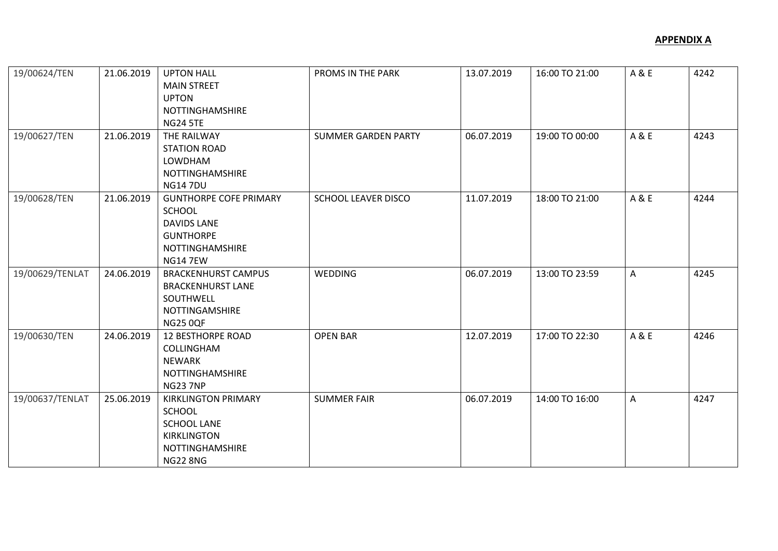| 19/00624/TEN<br>19/00627/TEN | 21.06.2019<br>21.06.2019 | <b>UPTON HALL</b><br><b>MAIN STREET</b><br><b>UPTON</b><br>NOTTINGHAMSHIRE<br><b>NG24 5TE</b><br>THE RAILWAY<br><b>STATION ROAD</b><br>LOWDHAM | PROMS IN THE PARK<br><b>SUMMER GARDEN PARTY</b> | 13.07.2019<br>06.07.2019 | 16:00 TO 21:00<br>19:00 TO 00:00 | A & E<br>A & E | 4242<br>4243 |
|------------------------------|--------------------------|------------------------------------------------------------------------------------------------------------------------------------------------|-------------------------------------------------|--------------------------|----------------------------------|----------------|--------------|
|                              |                          | NOTTINGHAMSHIRE<br><b>NG147DU</b>                                                                                                              |                                                 |                          |                                  |                |              |
| 19/00628/TEN                 | 21.06.2019               | <b>GUNTHORPE COFE PRIMARY</b><br>SCHOOL<br><b>DAVIDS LANE</b><br><b>GUNTHORPE</b><br>NOTTINGHAMSHIRE<br><b>NG14 7EW</b>                        | <b>SCHOOL LEAVER DISCO</b>                      | 11.07.2019               | 18:00 TO 21:00                   | A & E          | 4244         |
| 19/00629/TENLAT              | 24.06.2019               | <b>BRACKENHURST CAMPUS</b><br><b>BRACKENHURST LANE</b><br>SOUTHWELL<br>NOTTINGAMSHIRE<br><b>NG25 0QF</b>                                       | WEDDING                                         | 06.07.2019               | 13:00 TO 23:59                   | A              | 4245         |
| 19/00630/TEN                 | 24.06.2019               | <b>12 BESTHORPE ROAD</b><br>COLLINGHAM<br><b>NEWARK</b><br>NOTTINGHAMSHIRE<br><b>NG23 7NP</b>                                                  | <b>OPEN BAR</b>                                 | 12.07.2019               | 17:00 TO 22:30                   | A & E          | 4246         |
| 19/00637/TENLAT              | 25.06.2019               | <b>KIRKLINGTON PRIMARY</b><br>SCHOOL<br><b>SCHOOL LANE</b><br><b>KIRKLINGTON</b><br>NOTTINGHAMSHIRE<br><b>NG22 8NG</b>                         | <b>SUMMER FAIR</b>                              | 06.07.2019               | 14:00 TO 16:00                   | A              | 4247         |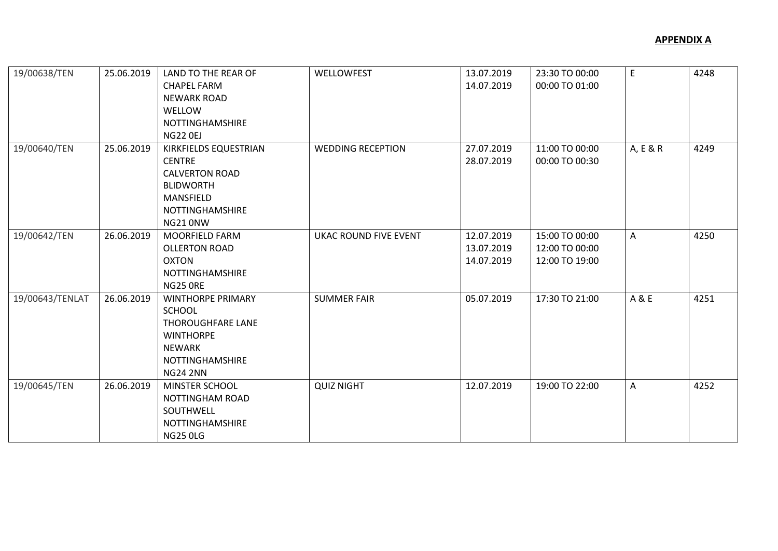| 19/00638/TEN    | 25.06.2019 | LAND TO THE REAR OF<br><b>CHAPEL FARM</b><br><b>NEWARK ROAD</b><br>WELLOW<br>NOTTINGHAMSHIRE<br><b>NG22 0EJ</b>                           | WELLOWFEST                   | 13.07.2019<br>14.07.2019               | 23:30 TO 00:00<br>00:00 TO 01:00                   | E        | 4248 |
|-----------------|------------|-------------------------------------------------------------------------------------------------------------------------------------------|------------------------------|----------------------------------------|----------------------------------------------------|----------|------|
| 19/00640/TEN    | 25.06.2019 | KIRKFIELDS EQUESTRIAN<br><b>CENTRE</b><br><b>CALVERTON ROAD</b><br><b>BLIDWORTH</b><br>MANSFIELD<br>NOTTINGHAMSHIRE<br>NG21 0NW           | <b>WEDDING RECEPTION</b>     | 27.07.2019<br>28.07.2019               | 11:00 TO 00:00<br>00:00 TO 00:30                   | A, E & R | 4249 |
| 19/00642/TEN    | 26.06.2019 | <b>MOORFIELD FARM</b><br><b>OLLERTON ROAD</b><br><b>OXTON</b><br>NOTTINGHAMSHIRE<br>NG25 ORE                                              | <b>UKAC ROUND FIVE EVENT</b> | 12.07.2019<br>13.07.2019<br>14.07.2019 | 15:00 TO 00:00<br>12:00 TO 00:00<br>12:00 TO 19:00 | A        | 4250 |
| 19/00643/TENLAT | 26.06.2019 | <b>WINTHORPE PRIMARY</b><br>SCHOOL<br>THOROUGHFARE LANE<br><b>WINTHORPE</b><br><b>NEWARK</b><br><b>NOTTINGHAMSHIRE</b><br><b>NG24 2NN</b> | <b>SUMMER FAIR</b>           | 05.07.2019                             | 17:30 TO 21:00                                     | A & E    | 4251 |
| 19/00645/TEN    | 26.06.2019 | MINSTER SCHOOL<br>NOTTINGHAM ROAD<br>SOUTHWELL<br>NOTTINGHAMSHIRE<br><b>NG25 0LG</b>                                                      | <b>QUIZ NIGHT</b>            | 12.07.2019                             | 19:00 TO 22:00                                     | A        | 4252 |